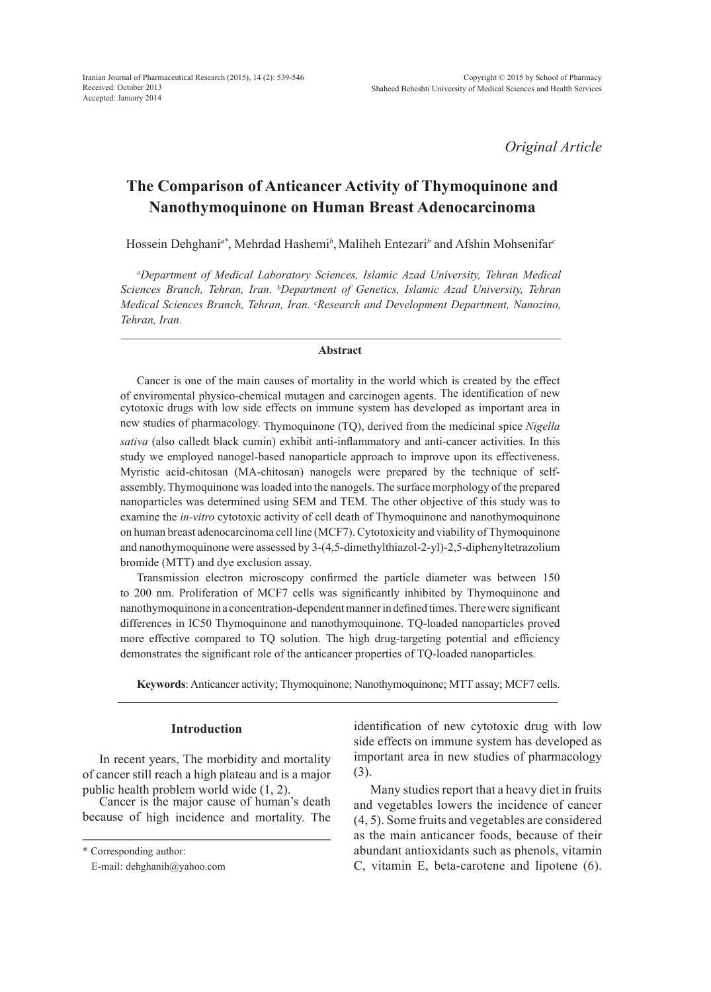*Original Article*

# **The Comparison of Anticancer Activity of Thymoquinone and Nanothymoquinone on Human Breast Adenocarcinoma**

Hossein Dehghani<sup>a\*</sup>, Mehrdad Hashemi<sup>b</sup>, Maliheh Entezari<sup>b</sup> and Afshin Mohsenifar<sup>c</sup>

*a Department of Medical Laboratory Sciences, Islamic Azad University, Tehran Medical Sciences Branch, Tehran, Iran. b Department of Genetics, Islamic Azad University, Tehran Medical Sciences Branch, Tehran, Iran. c Research and Development Department, Nanozino, Tehran, Iran.*

#### **Abstract**

Cancer is one of the main causes of mortality in the world which is created by the effect of enviromental physico-chemical mutagen and carcinogen agents. The identification of new cytotoxic drugs with low side effects on immune system has developed as important area in new studies of pharmacology. Thymoquinone (TQ), derived from the medicinal spice *Nigella sativa* (also calledt black cumin) exhibit anti-inflammatory and anti-cancer activities. In this study we employed nanogel-based nanoparticle approach to improve upon its effectiveness. Myristic acid-chitosan (MA-chitosan) nanogels were prepared by the technique of selfassembly. Thymoquinone was loaded into the nanogels. The surface morphology of the prepared nanoparticles was determined using SEM and TEM. The other objective of this study was to examine the *in-vitro* cytotoxic activity of cell death of Thymoquinone and nanothymoquinone on human breast adenocarcinoma cell line (MCF7). Cytotoxicity and viability of Thymoquinone and nanothymoquinone were assessed by 3-(4,5-dimethylthiazol-2-yl)-2,5-diphenyltetrazolium bromide (MTT) and dye exclusion assay.

Transmission electron microscopy confirmed the particle diameter was between 150 to 200 nm. Proliferation of MCF7 cells was significantly inhibited by Thymoquinone and nanothymoquinone in a concentration-dependent manner in defined times. Therewere significant differences in IC50 Thymoquinone and nanothymoquinone. TQ-loaded nanoparticles proved more effective compared to TQ solution. The high drug-targeting potential and efficiency demonstrates the significant role of the anticancer properties of TQ-loaded nanoparticles.

**Keywords**: Anticancer activity; Thymoquinone; Nanothymoquinone; MTT assay; MCF7 cells.

# **Introduction**

In recent years, The morbidity and mortality of cancer still reach a high plateau and is a major public health problem world wide (1, 2).

Cancer is the major cause of human's death because of high incidence and mortality. The identification of new cytotoxic drug with low side effects on immune system has developed as important area in new studies of pharmacology (3).

Many studies report that a heavy diet in fruits and vegetables lowers the incidence of cancer (4, 5). Some fruits and vegetables are considered as the main anticancer foods, because of their abundant antioxidants such as phenols, vitamin C, vitamin E, beta-carotene and lipotene (6).

<sup>\*</sup> Corresponding author:

E-mail: dehghanih@yahoo.com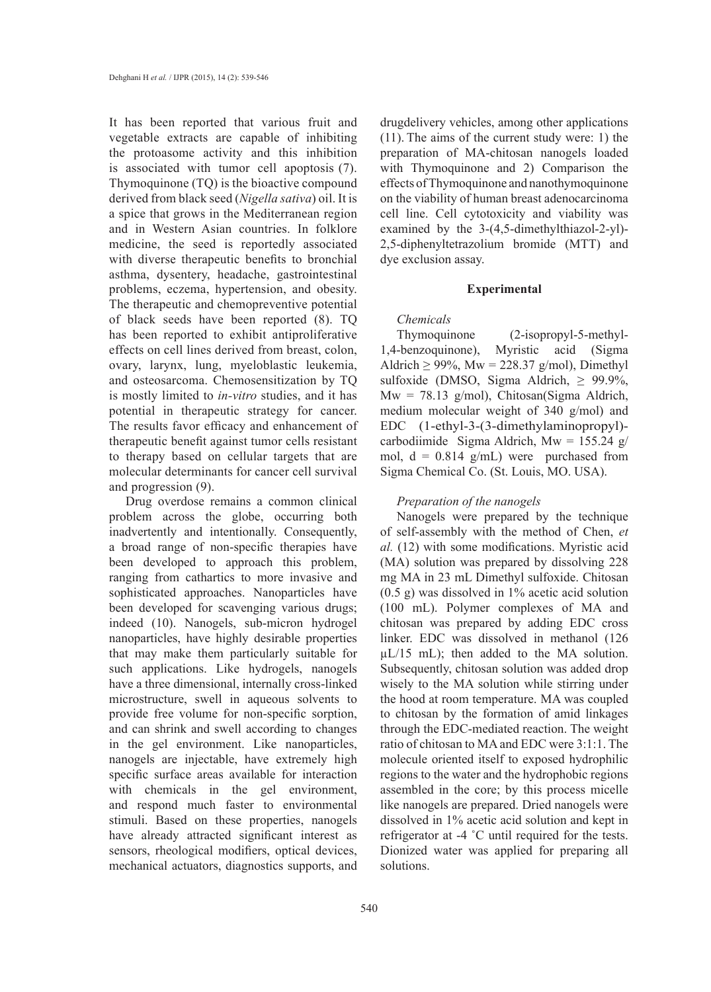It has been reported that various fruit and vegetable extracts are capable of inhibiting the protoasome activity and this inhibition is associated with tumor cell apoptosis (7). Thymoquinone (TQ) is the bioactive compound derived from black seed (*Nigella sativa*) oil. It is a spice that grows in the Mediterranean region and in Western Asian countries. In folklore medicine, the seed is reportedly associated with diverse therapeutic benefits to bronchial asthma, dysentery, headache, gastrointestinal problems, eczema, hypertension, and obesity. The therapeutic and chemopreventive potential of black seeds have been reported (8). TQ has been reported to exhibit antiproliferative effects on cell lines derived from breast, colon, ovary, larynx, lung, myeloblastic leukemia, and osteosarcoma. Chemosensitization by TQ is mostly limited to *in-vitro* studies, and it has potential in therapeutic strategy for cancer. The results favor efficacy and enhancement of therapeutic benefit against tumor cells resistant to therapy based on cellular targets that are molecular determinants for cancer cell survival and progression (9).

Drug overdose remains a common clinical problem across the globe, occurring both inadvertently and intentionally. Consequently, a broad range of non-specific therapies have been developed to approach this problem, ranging from cathartics to more invasive and sophisticated approaches. Nanoparticles have been developed for scavenging various drugs; indeed (10). Nanogels, sub-micron hydrogel nanoparticles, have highly desirable properties that may make them particularly suitable for such applications. Like hydrogels, nanogels have a three dimensional, internally cross-linked microstructure, swell in aqueous solvents to provide free volume for non-specific sorption, and can shrink and swell according to changes in the gel environment. Like nanoparticles, nanogels are injectable, have extremely high specific surface areas available for interaction with chemicals in the gel environment, and respond much faster to environmental stimuli. Based on these properties, nanogels have already attracted significant interest as sensors, rheological modifiers, optical devices, mechanical actuators, diagnostics supports, and drugdelivery vehicles, among other applications (11). The aims of the current study were: 1) the preparation of MA-chitosan nanogels loaded with Thymoquinone and 2) Comparison the effects of Thymoquinone and nanothymoquinone on the viability of human breast adenocarcinoma cell line. Cell cytotoxicity and viability was examined by the 3-(4,5-dimethylthiazol-2-yl)- 2,5-diphenyltetrazolium bromide (MTT) and dye exclusion assay.

#### **Experimental**

## *Chemicals*

Thymoquinone (2-isopropyl-5-methyl-1,4-benzoquinone), Myristic acid (Sigma Aldrich  $\geq$  99%, Mw = 228.37 g/mol), Dimethyl sulfoxide (DMSO, Sigma Aldrich,  $\geq$  99.9%,  $Mw = 78.13$  g/mol), Chitosan(Sigma Aldrich, medium molecular weight of 340 g/mol) and EDC (1-ethyl-3-(3-dimethylaminopropyl) carbodiimide Sigma Aldrich, Mw = 155.24 g/ mol,  $d = 0.814$  g/mL) were purchased from Sigma Chemical Co. (St. Louis, MO. USA).

#### *Preparation of the nanogels*

Nanogels were prepared by the technique of self-assembly with the method of Chen, *et al.* (12) with some modifications. Myristic acid (MA) solution was prepared by dissolving 228 mg MA in 23 mL Dimethyl sulfoxide. Chitosan (0.5 g) was dissolved in 1% acetic acid solution (100 mL). Polymer complexes of MA and chitosan was prepared by adding EDC cross linker. EDC was dissolved in methanol (126  $\mu$ L/15 mL); then added to the MA solution. Subsequently, chitosan solution was added drop wisely to the MA solution while stirring under the hood at room temperature. MA was coupled to chitosan by the formation of amid linkages through the EDC-mediated reaction. The weight ratio of chitosan to MA and EDC were 3:1:1. The molecule oriented itself to exposed hydrophilic regions to the water and the hydrophobic regions assembled in the core; by this process micelle like nanogels are prepared. Dried nanogels were dissolved in 1% acetic acid solution and kept in refrigerator at -4 ˚C until required for the tests. Dionized water was applied for preparing all solutions.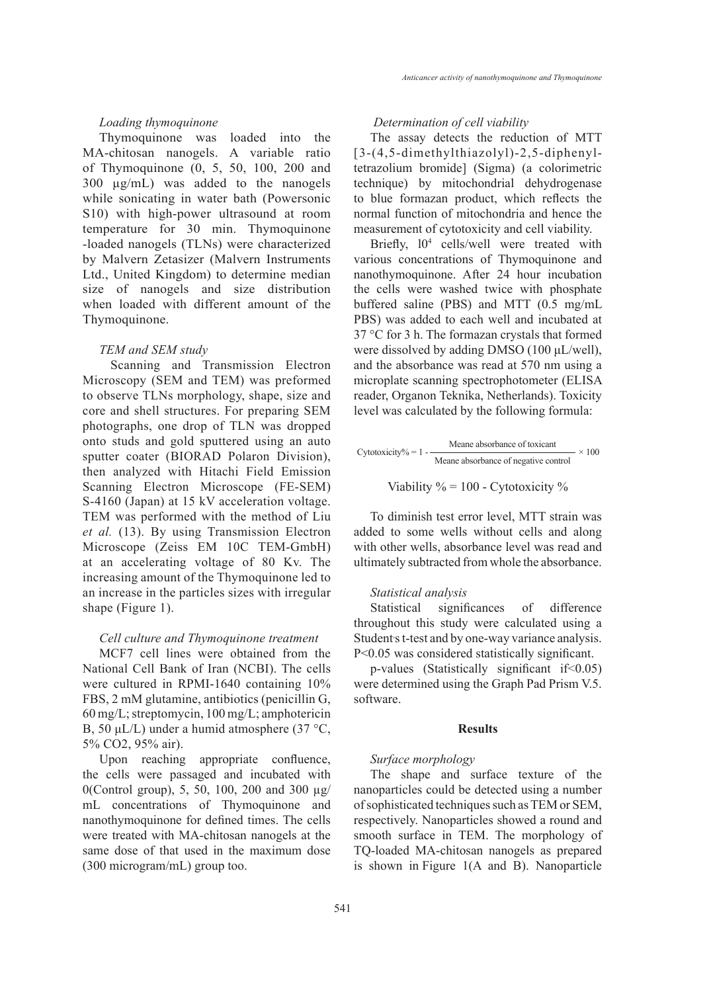## *Loading thymoquinone*

Thymoquinone was loaded into the MA-chitosan nanogels. A variable ratio of Thymoquinone (0, 5, 50, 100, 200 and 300 µg/mL) was added to the nanogels while sonicating in water bath (Powersonic S10) with high-power ultrasound at room temperature for 30 min. Thymoquinone -loaded nanogels (TLNs) were characterized by Malvern Zetasizer (Malvern Instruments Ltd., United Kingdom) to determine median size of nanogels and size distribution when loaded with different amount of the Thymoquinone.

#### *TEM and SEM study*

 Scanning and Transmission Electron Microscopy (SEM and TEM) was preformed to observe TLNs morphology, shape, size and core and shell structures. For preparing SEM photographs, one drop of TLN was dropped onto studs and gold sputtered using an auto sputter coater (BIORAD Polaron Division), then analyzed with Hitachi Field Emission Scanning Electron Microscope (FE-SEM) S-4160 (Japan) at 15 kV acceleration voltage. TEM was performed with the method of Liu *et al.* (13). By using Transmission Electron Microscope (Zeiss EM 10C TEM-GmbH) at an accelerating voltage of 80 Kv. The increasing amount of the Thymoquinone led to an increase in the particles sizes with irregular shape (Figure 1).

#### *Cell culture and Thymoquinone treatment*

MCF7 cell lines were obtained from the National Cell Bank of Iran (NCBI). The cells were cultured in RPMI-1640 containing 10% FBS, 2 mM glutamine, antibiotics (penicillin G, 60 mg/L; streptomycin, 100 mg/L; amphotericin B, 50 μL/L) under a humid atmosphere (37 °C, 5% CO2, 95% air).

Upon reaching appropriate confluence, the cells were passaged and incubated with 0(Control group), 5, 50, 100, 200 and 300 µg/ mL concentrations of Thymoquinone and nanothymoquinone for defined times. The cells were treated with MA-chitosan nanogels at the same dose of that used in the maximum dose (300 microgram/mL) group too.

# *Determination of cell viability*

The assay detects the reduction of MTT [3-(4,5-dimethylthiazolyl)-2,5-diphenyltetrazolium bromide] (Sigma) (a colorimetric technique) by mitochondrial dehydrogenase to blue formazan product, which reflects the normal function of mitochondria and hence the measurement of cytotoxicity and cell viability.

Briefly,  $10^4$  cells/well were treated with various concentrations of Thymoquinone and nanothymoquinone. After 24 hour incubation the cells were washed twice with phosphate buffered saline (PBS) and MTT (0.5 mg/mL PBS) was added to each well and incubated at 37 °C for 3 h. The formazan crystals that formed were dissolved by adding DMSO (100 μL/well), and the absorbance was read at 570 nm using a microplate scanning spectrophotometer (ELISA reader, Organon Teknika, Netherlands). Toxicity level was calculated by the following formula:

Cytotoxicity% = 
$$
1 - \frac{\text{Meane absorbance of toxicant}}{\text{Meane absorbance of negative control}} \times 100
$$

Viability 
$$
\% = 100
$$
 - Cytotoxicity %

To diminish test error level, MTT strain was added to some wells without cells and along with other wells, absorbance level was read and ultimately subtracted from whole the absorbance.

## *Statistical analysis*

Statistical significances of difference throughout this study were calculated using a Student's t-test and by one-way variance analysis. P<0.05 was considered statistically significant.

p-values (Statistically significant if<0.05) were determined using the Graph Pad Prism V.5. software.

#### **Results**

#### *Surface morphology*

The shape and surface texture of the nanoparticles could be detected using a number of sophisticated techniques such as TEM or SEM, respectively. Nanoparticles showed a round and smooth surface in TEM. The morphology of TQ-loaded MA-chitosan nanogels as prepared is shown in Figure 1(A and B). Nanoparticle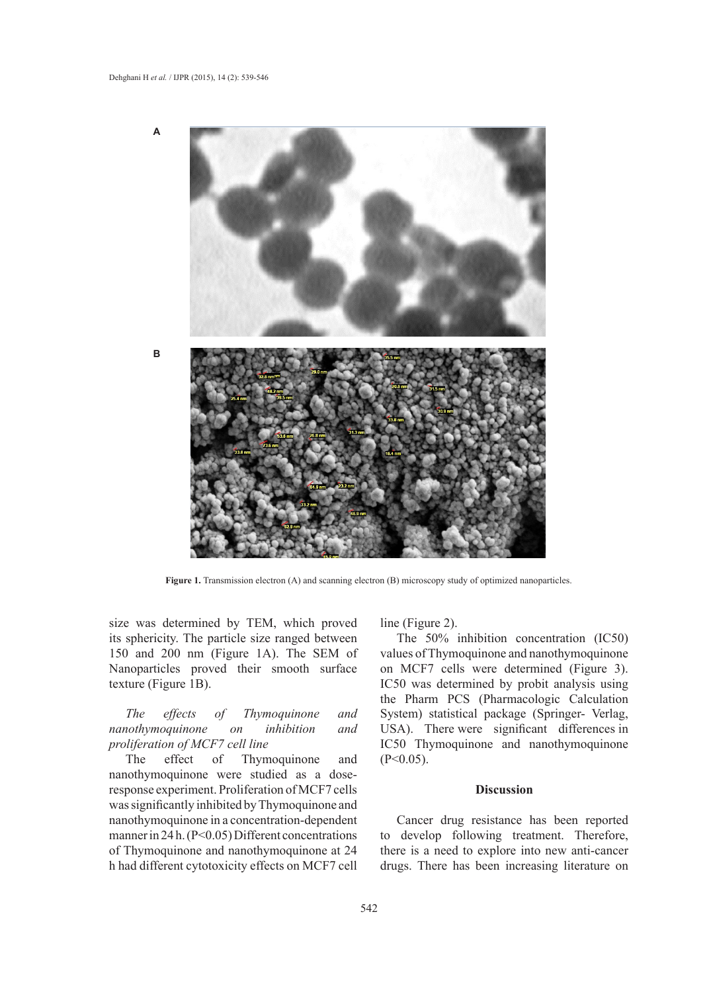

**Figure 1.** Transmission electron (A) and scanning electron (B) microscopy study of optimized nanoparticles.

size was determined by TEM, which proved its sphericity. The particle size ranged between 150 and 200 nm (Figure 1A). The SEM of Nanoparticles proved their smooth surface texture (Figure 1B).

*The effects of Thymoquinone and nanothymoquinone on inhibition and proliferation of MCF7 cell line* 

The effect of Thymoquinone and nanothymoquinone were studied as a doseresponse experiment. Proliferation of MCF7 cells was significantly inhibited by Thymoquinone and nanothymoquinone in a concentration-dependent manner in 24 h. (P<0.05) Different concentrations of Thymoquinone and nanothymoquinone at 24 h had different cytotoxicity effects on MCF7 cell

line (Figure 2).

The 50% inhibition concentration (IC50) values of Thymoquinone and nanothymoquinone on MCF7 cells were determined (Figure 3). IC50 was determined by probit analysis using the Pharm PCS (Pharmacologic Calculation System) statistical package (Springer- Verlag, USA). There were significant differences in IC50 Thymoquinone and nanothymoquinone  $(P<0.05)$ .

## **Discussion**

Cancer drug resistance has been reported to develop following treatment. Therefore, there is a need to explore into new anti-cancer drugs. There has been increasing literature on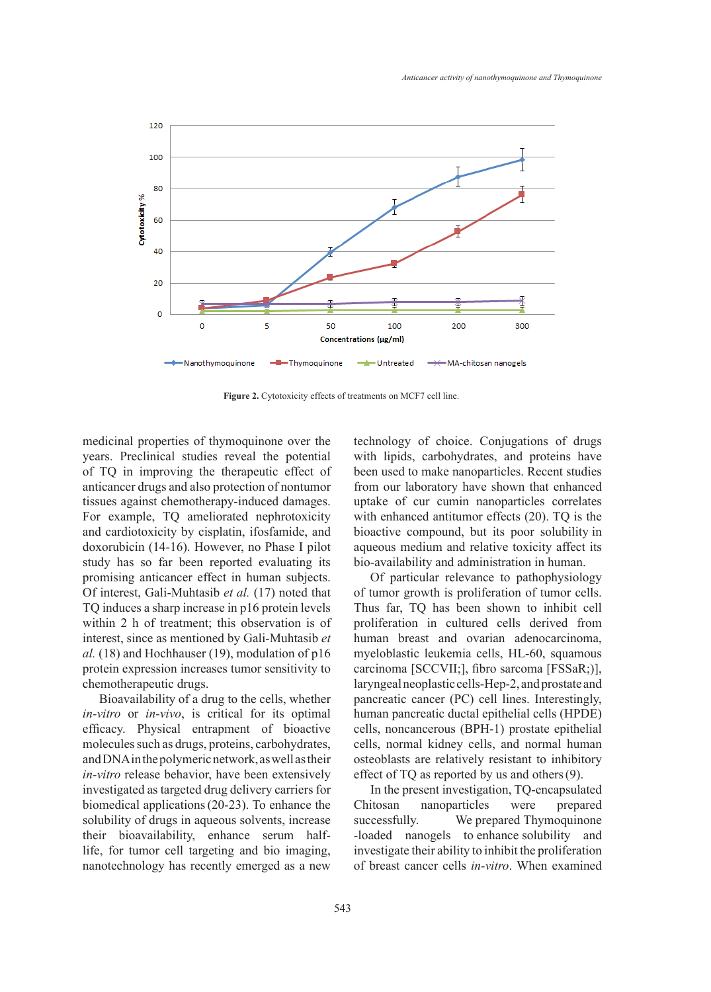

**Figure 2.** Cytotoxicity effects of treatments on MCF7 cell line.

medicinal properties of thymoquinone over the years. Preclinical studies reveal the potential of TQ in improving the therapeutic effect of anticancer drugs and also protection of nontumor tissues against chemotherapy-induced damages. For example, TQ ameliorated nephrotoxicity and cardiotoxicity by cisplatin, ifosfamide, and doxorubicin (14-16). However, no Phase I pilot study has so far been reported evaluating its promising anticancer effect in human subjects. Of interest, Gali-Muhtasib *et al.* (17) noted that TQ induces a sharp increase in p16 protein levels within 2 h of treatment; this observation is of interest, since as mentioned by Gali-Muhtasib *et al.* (18) and Hochhauser (19), modulation of p16 protein expression increases tumor sensitivity to chemotherapeutic drugs.

Bioavailability of a drug to the cells, whether *in-vitro* or *in-vivo*, is critical for its optimal efficacy. Physical entrapment of bioactive molecules such as drugs, proteins, carbohydrates, and DNA in the polymeric network, as well as their *in-vitro* release behavior, have been extensively investigated as targeted drug delivery carriers for biomedical applications(20-23). To enhance the solubility of drugs in aqueous solvents, increase their bioavailability, enhance serum halflife, for tumor cell targeting and bio imaging, nanotechnology has recently emerged as a new technology of choice. Conjugations of drugs with lipids, carbohydrates, and proteins have been used to make nanoparticles. Recent studies from our laboratory have shown that enhanced uptake of cur cumin nanoparticles correlates with enhanced antitumor effects (20). TQ is the bioactive compound, but its poor solubility in aqueous medium and relative toxicity affect its bio-availability and administration in human.

Of particular relevance to pathophysiology of tumor growth is proliferation of tumor cells. Thus far, TQ has been shown to inhibit cell proliferation in cultured cells derived from human breast and ovarian adenocarcinoma, myeloblastic leukemia cells, HL-60, squamous carcinoma [SCCVII;], fibro sarcoma [FSSaR;)], laryngeal neoplastic cells-Hep-2, and prostate and pancreatic cancer (PC) cell lines. Interestingly, human pancreatic ductal epithelial cells (HPDE) cells, noncancerous (BPH-1) prostate epithelial cells, normal kidney cells, and normal human osteoblasts are relatively resistant to inhibitory effect of TQ as reported by us and others(9).

In the present investigation, TQ-encapsulated Chitosan nanoparticles were prepared successfully. We prepared Thymoquinone -loaded nanogels to enhance solubility and investigate their ability to inhibit the proliferation of breast cancer cells *in-vitro*. When examined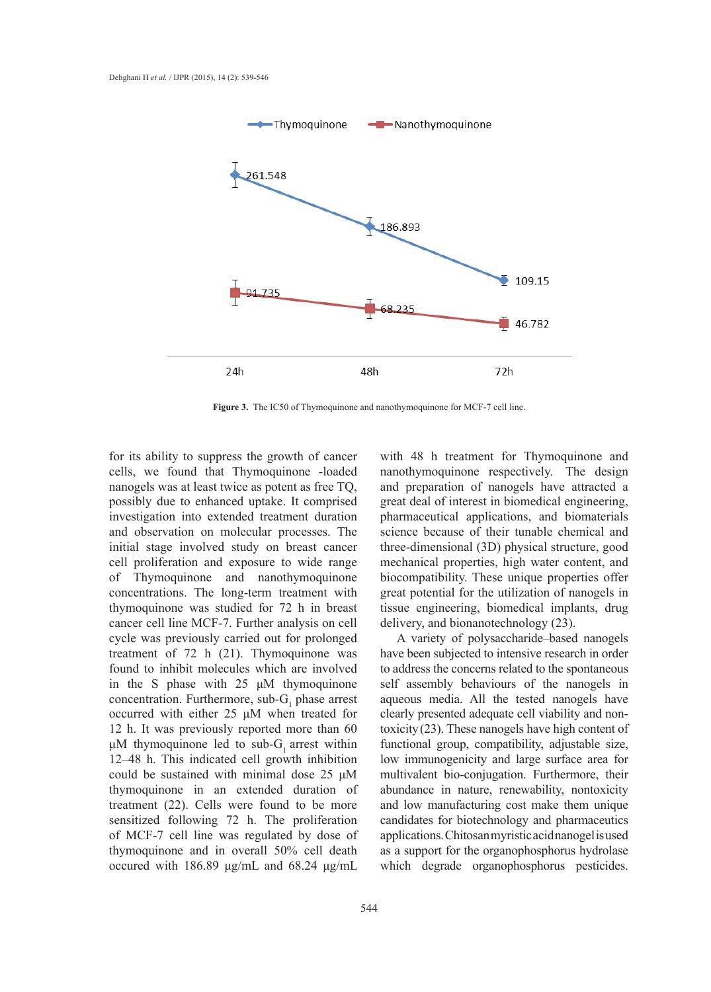

**Figure 3.** The IC50 of Thymoquinone and nanothymoquinone for MCF-7 cell line.

for its ability to suppress the growth of cancer cells, we found that Thymoquinone -loaded nanogels was at least twice as potent as free TQ, possibly due to enhanced uptake. It comprised investigation into extended treatment duration and observation on molecular processes. The initial stage involved study on breast cancer cell proliferation and exposure to wide range of Thymoquinone and nanothymoquinone concentrations. The long-term treatment with thymoquinone was studied for 72 h in breast cancer cell line MCF-7. Further analysis on cell cycle was previously carried out for prolonged treatment of 72 h (21). Thymoquinone was found to inhibit molecules which are involved in the S phase with 25 μM thymoquinone concentration. Furthermore,  $sub-G<sub>1</sub>$  phase arrest occurred with either 25 μM when treated for 12 h. It was previously reported more than 60 μM thymoquinone led to sub- $G_1$  arrest within 12–48 h. This indicated cell growth inhibition could be sustained with minimal dose 25 μM thymoquinone in an extended duration of treatment (22). Cells were found to be more sensitized following 72 h. The proliferation of MCF-7 cell line was regulated by dose of thymoquinone and in overall 50% cell death occured with 186.89 μg/mL and 68.24 μg/mL

with 48 h treatment for Thymoquinone and nanothymoquinone respectively. The design and preparation of nanogels have attracted a great deal of interest in biomedical engineering, pharmaceutical applications, and biomaterials science because of their tunable chemical and three-dimensional (3D) physical structure, good mechanical properties, high water content, and biocompatibility. These unique properties offer great potential for the utilization of nanogels in tissue engineering, biomedical implants, drug delivery, and bionanotechnology (23).

A variety of polysaccharide–based nanogels have been subjected to intensive research in order to address the concerns related to the spontaneous self assembly behaviours of the nanogels in aqueous media. All the tested nanogels have clearly presented adequate cell viability and nontoxicity(23). These nanogels have high content of functional group, compatibility, adjustable size, low immunogenicity and large surface area for multivalent bio-conjugation. Furthermore, their abundance in nature, renewability, nontoxicity and low manufacturing cost make them unique candidates for biotechnology and pharmaceutics applications. Chitosan myristic acid nanogel is used as a support for the organophosphorus hydrolase which degrade organophosphorus pesticides.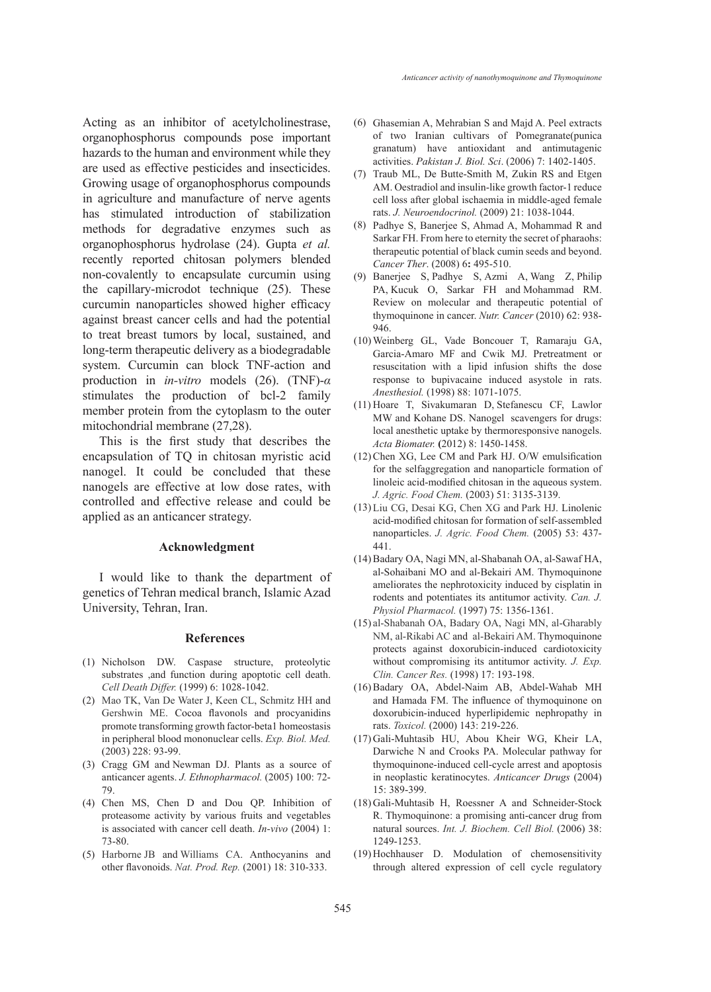Acting as an inhibitor of acetylcholinestrase, organophosphorus compounds pose important hazards to the human and environment while they are used as effective pesticides and insecticides. Growing usage of organophosphorus compounds in agriculture and manufacture of nerve agents has stimulated introduction of stabilization methods for degradative enzymes such as organophosphorus hydrolase (24). Gupta *et al.* recently reported chitosan polymers blended non-covalently to encapsulate curcumin using the capillary-microdot technique (25). These curcumin nanoparticles showed higher efficacy against breast cancer cells and had the potential to treat breast tumors by local, sustained, and long-term therapeutic delivery as a biodegradable system. Curcumin can block TNF-action and production in *in-vitro* models (26). (TNF)-*α* stimulates the production of bcl-2 family member protein from the cytoplasm to the outer mitochondrial membrane (27,28).

This is the first study that describes the encapsulation of TQ in chitosan myristic acid nanogel. It could be concluded that these nanogels are effective at low dose rates, with controlled and effective release and could be applied as an anticancer strategy.

## **Acknowledgment**

I would like to thank the department of genetics of Tehran medical branch, Islamic Azad University, Tehran, Iran.

#### **References**

- (1) Nicholson DW. Caspase structure, proteolytic substrates ,and function during apoptotic cell death. *Cell Death Differ.* (1999) 6: 1028-1042.
- (2) Mao TK, Van De Water J, Keen CL, Schmitz HH and Gershwin ME. Cocoa flavonols and procyanidins promote transforming growth factor-beta1 homeostasis in peripheral blood mononuclear cells. *Exp. Biol. Med.* (2003) 228: 93-99.
- (3) Cragg GM and Newman DJ. Plants as a source of anticancer agents. *J. Ethnopharmacol.* (2005) 100: 72- 79.
- Chen MS, Chen D and Dou QP. Inhibition of (4) proteasome activity by various fruits and vegetables is associated with cancer cell death. *In-vivo* (2004) 1: 73-80.
- (5) Harborne JB and Williams CA. Anthocyanins and other flavonoids. *Nat. Prod. Rep.* (2001) 18: 310-333.
- Ghasemian A, Mehrabian S and Majd A. Peel extracts (6) of two Iranian cultivars of Pomegranate(punica granatum) have antioxidant and antimutagenic activities. *Pakistan J. Biol. Sci*. (2006) 7: 1402-1405.
- (7) Traub ML, De Butte-Smith M, Zukin RS and Etgen AM. Oestradiol and insulin-like growth factor-1 reduce cell loss after global ischaemia in middle-aged female rats. *J. Neuroendocrinol.* (2009) 21: 1038-1044.
- Padhye S, Banerjee S, Ahmad A, Mohammad R and Sarkar FH. From here to eternity the secret of pharaohs: therapeutic potential of black cumin seeds and beyond. *Cancer Ther*. (2008) 6**:** 495-510. (8)
- Banerjee S, Padhye S, Azmi A, Wang Z, Philip (9) PA, Kucuk O, Sarkar FH and Mohammad RM. Review on molecular and therapeutic potential of thymoquinone in cancer. *Nutr. Cancer* (2010) 62: 938- 946.
- Weinberg GL, Vade Boncouer T, Ramaraju GA, (10) Garcia-Amaro MF and Cwik MJ. Pretreatment or resuscitation with a lipid infusion shifts the dose response to bupivacaine induced asystole in rats. *Anesthesiol.* (1998) 88: 1071-1075.
- (11) Hoare T, Sivakumaran D, Stefanescu CF, Lawlor MW and Kohane DS. Nanogel scavengers for drugs: local anesthetic uptake by thermoresponsive nanogels. *Acta Biomater.* **(**2012) 8: 1450-1458.
- $(12)$  Chen XG, Lee CM and Park HJ. O/W emulsification for the selfaggregation and nanoparticle formation of linoleic acid-modified chitosan in the aqueous system. *J. Agric. Food Chem.* (2003) 51: 3135-3139.
- (13) Liu CG, Desai KG, Chen XG and Park HJ. Linolenic acid-modified chitosan for formation of self-assembled nanoparticles. *J. Agric. Food Chem.* (2005) 53: 437- 441.
- Badary OA, Nagi MN, al-Shabanah OA, al-Sawaf HA, (14) al-Sohaibani MO and al-Bekairi AM. Thymoquinone ameliorates the nephrotoxicity induced by cisplatin in rodents and potentiates its antitumor activity. *Can. J. Physiol Pharmacol.* (1997) 75: 1356-1361.
- (15) al-Shabanah OA, Badary OA, Nagi MN, al-Gharably NM, al-Rikabi AC and al-Bekairi AM. Thymoquinone protects against doxorubicin-induced cardiotoxicity without compromising its antitumor activity. *J. Exp. Clin. Cancer Res.* (1998) 17: 193-198.
- (16) Badary OA, Abdel-Naim AB, Abdel-Wahab MH and Hamada FM. The influence of thymoquinone on doxorubicin-induced hyperlipidemic nephropathy in rats. *Toxicol.* (2000) 143: 219-226.
- (17) Gali-Muhtasib HU, Abou Kheir WG, Kheir LA, Darwiche N and Crooks PA. Molecular pathway for thymoquinone-induced cell-cycle arrest and apoptosis in neoplastic keratinocytes. *Anticancer Drugs* (2004) 15: 389-399.
- (18) Gali-Muhtasib H, Roessner A and Schneider-Stock R. Thymoquinone: a promising anti-cancer drug from natural sources. *Int. J. Biochem. Cell Biol.* (2006) 38: 1249-1253.
- (19) Hochhauser D. Modulation of chemosensitivity through altered expression of cell cycle regulatory